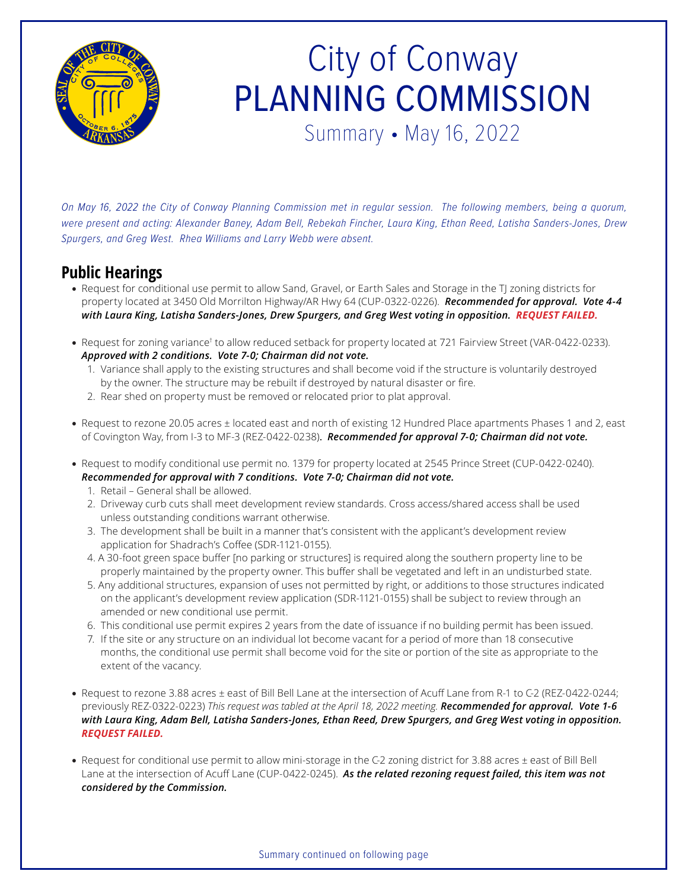

## City of Conway PLANNING COMMISSION Summary • May 16, 2022

*On May 16, 2022 the City of Conway Planning Commission met in regular session. The following members, being a quorum, were present and acting: Alexander Baney, Adam Bell, Rebekah Fincher, Laura King, Ethan Reed, Latisha Sanders-Jones, Drew Spurgers, and Greg West. Rhea Williams and Larry Webb were absent.*

## **Public Hearings**

- Request for conditional use permit to allow Sand, Gravel, or Earth Sales and Storage in the TJ zoning districts for property located at 3450 Old Morrilton Highway/AR Hwy 64 (CUP-0322-0226). *Recommended for approval. Vote 4-4 with Laura King, Latisha Sanders-Jones, Drew Spurgers, and Greg West voting in opposition. REQUEST FAILED.*
- Request for zoning variance<sup>t</sup> to allow reduced setback for property located at 721 Fairview Street (VAR-0422-0233). *Approved with 2 conditions. Vote 7-0; Chairman did not vote.*
	- 1. Variance shall apply to the existing structures and shall become void if the structure is voluntarily destroyed by the owner. The structure may be rebuilt if destroyed by natural disaster or fire.
	- 2. Rear shed on property must be removed or relocated prior to plat approval.
- Request to rezone 20.05 acres ± located east and north of existing 12 Hundred Place apartments Phases 1 and 2, east of Covington Way, from I-3 to MF-3 (REZ-0422-0238). *Recommended for approval 7-0; Chairman did not vote.*
- Request to modify conditional use permit no. 1379 for property located at 2545 Prince Street (CUP-0422-0240). *Recommended for approval with 7 conditions. Vote 7-0; Chairman did not vote.*
	- 1. Retail General shall be allowed.
	- 2. Driveway curb cuts shall meet development review standards. Cross access/shared access shall be used unless outstanding conditions warrant otherwise.
	- 3. The development shall be built in a manner that's consistent with the applicant's development review application for Shadrach's Coffee (SDR-1121-0155).
	- 4. A 30-foot green space buffer [no parking or structures] is required along the southern property line to be properly maintained by the property owner. This buffer shall be vegetated and left in an undisturbed state.
	- 5. Any additional structures, expansion of uses not permitted by right, or additions to those structures indicated on the applicant's development review application (SDR-1121-0155) shall be subject to review through an amended or new conditional use permit.
	- 6. This conditional use permit expires 2 years from the date of issuance if no building permit has been issued.
	- 7. If the site or any structure on an individual lot become vacant for a period of more than 18 consecutive months, the conditional use permit shall become void for the site or portion of the site as appropriate to the extent of the vacancy.
- Request to rezone 3.88 acres ± east of Bill Bell Lane at the intersection of Acuff Lane from R-1 to C-2 (REZ-0422-0244; previously REZ-0322-0223) *This request was tabled at the April 18, 2022 meeting. Recommended for approval. Vote 1-6 with Laura King, Adam Bell, Latisha Sanders-Jones, Ethan Reed, Drew Spurgers, and Greg West voting in opposition. REQUEST FAILED.*
- Request for conditional use permit to allow mini-storage in the C-2 zoning district for 3.88 acres ± east of Bill Bell Lane at the intersection of Acuff Lane (CUP-0422-0245). *As the related rezoning request failed, this item was not considered by the Commission.*